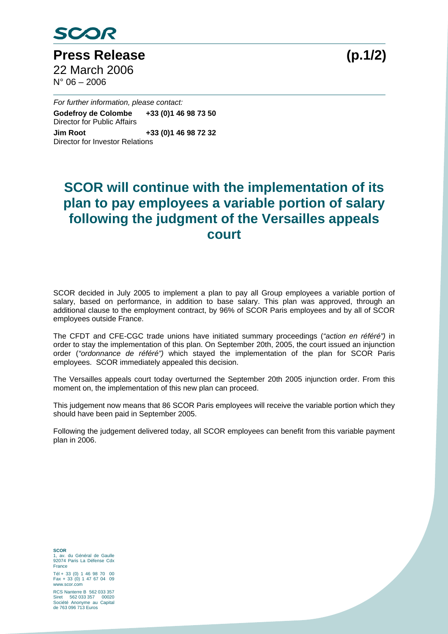

**Press Release (p.1/2)**  22 March 2006  $N^{\circ}$  06 – 2006

*For further information, please contact:* 

**Godefroy de Colombe +33 (0)1 46 98 73 50**  Director for Public Affairs **Jim Root +33 (0)1 46 98 72 32**  Director for Investor Relations

## **SCOR will continue with the implementation of its plan to pay employees a variable portion of salary following the judgment of the Versailles appeals court**

SCOR decided in July 2005 to implement a plan to pay all Group employees a variable portion of salary, based on performance, in addition to base salary. This plan was approved, through an additional clause to the employment contract, by 96% of SCOR Paris employees and by all of SCOR employees outside France.

The CFDT and CFE-CGC trade unions have initiated summary proceedings (*"action en référé")* in order to stay the implementation of this plan. On September 20th, 2005, the court issued an injunction order (*"ordonnance de référé")* which stayed the implementation of the plan for SCOR Paris employees. SCOR immediately appealed this decision.

The Versailles appeals court today overturned the September 20th 2005 injunction order. From this moment on, the implementation of this new plan can proceed.

This judgement now means that 86 SCOR Paris employees will receive the variable portion which they should have been paid in September 2005.

Following the judgement delivered today, all SCOR employees can benefit from this variable payment plan in 2006.

**SCOR**  1, av. du Général de Gaulle 92074 Paris La Défense Cdx France

Tél + 33 (0) 1 46 98 70 00 Fax + 33 (0) 1 47 67 04 09 www.scor.com

RCS Nanterre B 562 033 357 Siret 562 033 357 00020 Société Anonyme au Capital de 763 096 713 Euros